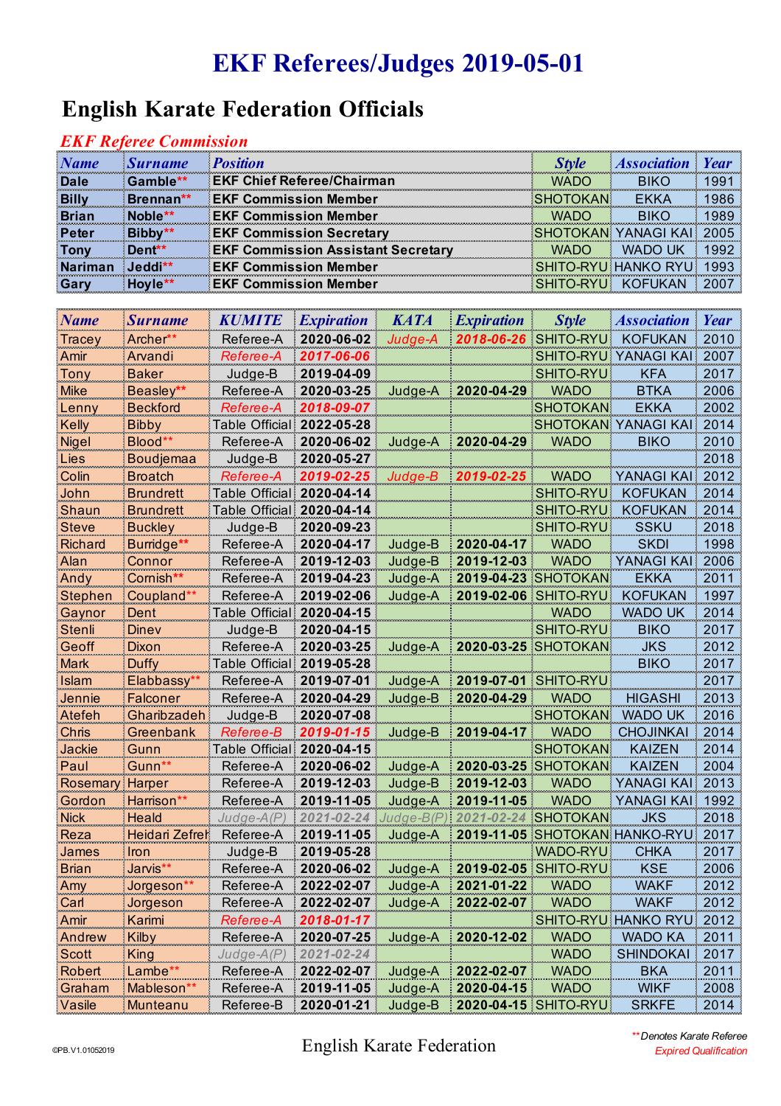## **EKF Referees/Judges 2019-05-01**

### **English Karate Federation Officials**

#### *EKF Referee Commission*

| <b>Name</b>  | <b>Surname</b>      | <b>Position</b>                           | <i><b>Style</b></i> | <b>Association Year</b>    |      |
|--------------|---------------------|-------------------------------------------|---------------------|----------------------------|------|
| Dale         | Gamble**            | <b>EKF Chief Referee/Chairman</b>         | <b>WADO</b>         |                            | 1991 |
| <b>Billy</b> | Brennan**           | <b>EKF Commission Member</b>              | <b>SHOTOKAN</b>     | EKKA                       | 1986 |
| <b>Brian</b> | Noble <sup>**</sup> | <b>EKF Commission Member</b>              | <b>WADO</b>         | <b>BIKO</b>                | 1989 |
| Peter        | Bibby**             | <b>EKF Commission Secretary</b>           |                     | <b>SHOTOKAN YANAGI KAL</b> |      |
| <b>Tony</b>  | Dent <sup>**</sup>  | <b>EKF Commission Assistant Secretary</b> | <b>WADO</b>         | <b>WADO UK</b>             |      |
|              | $J$ eddi $**$       | <b>EKF Commission Member</b>              |                     | <b>SHITO-RYU HANKO RYU</b> |      |
| <b>Garv</b>  | Hovie**             | <b>EKF Commission Member</b>              |                     | SHITO-RYU KOFUKAN          |      |

| Name           | <b>Surname</b>   | KUMITE           | <i><b>Expiration</b></i> | <b>KATA</b> | <i><b>Expiration</b></i> | <b>Style</b>         | Association            | Year          |
|----------------|------------------|------------------|--------------------------|-------------|--------------------------|----------------------|------------------------|---------------|
| Tracey         | Archer**         | Referee-A        | 2020-06-02               | Judge-A     | 2018-06-26 SHITO-RYU     |                      | <b>KOFUKAN</b>         | 2010          |
| Amir           | Arvandi          | Referee-A        | 2017-06-06               |             |                          | SHITO-RYU I          | YANAGI KAI             | 2007          |
| Tony           | <b>Baker</b>     | Judge-B          | 2019-04-09               |             |                          | <b>SHITO-RYU</b>     | <b>KFA</b>             | 2017          |
| <b>Mike</b>    | Beasley**        | Referee-A        | 2020-03-25               | Judge-A     | 2020-04-29               | <b>WADO</b>          | <b>BTKA</b>            | 2006          |
| <u>Lenny</u>   | <b>Beckford</b>  | Referee-A        | 2018-09-07               |             |                          | SHOTOKAN             | EKKA                   | 2002          |
| Kelly          | Bibby            | Table Official:  | 2022-05-28               |             |                          | <b>SHOTOKAN</b>      | YANAGI KAI             | 2014          |
| <u>Nigel</u>   | Blood*'          | Referee-A        | 2020-06-02               | Judge-A     | 2020-04-29               | <b>WADO</b>          | <b>BIKO</b>            | 2010          |
| Lies           | <b>Boudjemaa</b> | Judge-B          | 2020-05-27               |             |                          |                      |                        | 2018          |
| Colin          | <b>Broatch</b>   | Referee-A        | 2019-02-25               | Judge-B     | 2019-02-25               | WADO                 | YANAGI KAI             | $\sqrt{2012}$ |
| John           | <b>Brundrett</b> | Table Official:  | 2020-04-14               |             |                          | <b>SHITO-RYU</b>     | <b>KOFUKAN</b>         | 2014          |
| <b>Shaun</b>   | <b>Brundrett</b> | Table Official!  | 2020-04-14               |             |                          | <b>SHITO-RYU</b>     | KOFUKAN                | 2014          |
| Steve          | <b>Buckley</b>   | Judge-B          | 2020-09-23               |             |                          | SHITO-RYU            | <b>SSKU</b>            | 2018          |
| Richard        | Burridge**       | Referee-A        | 2020-04-17               | Judge-B     | 2020-04-17               | <b>WADO</b>          | <b>SKDI</b>            | 1998          |
| Alan           | Connor           | Referee-A        | 2019-12-03               | Judge-B     | 2019-12-03               | <b>WADO</b>          | YANAGI KAI             | 2006          |
| Andy           | Cornish**        | Referee-A        | 2019-04-23               | Judge-A     | 2019-04-23               | <b>SHOTOKAN</b>      | <b>EKKA</b>            | 2011          |
| <b>Stephen</b> | Coupland         | Referee-A        | 2019-02-06               | Judge-A     | 2019-02-06               | SHITO-RYU            | <b>KOFUKAN</b>         | 1997          |
| <u>Gaynor</u>  | Dent             | Table Official!  | 2020-04-15               |             |                          | <b>WADO</b>          | wado uk                | 2014          |
| Stenli         | Dinev            | Judge-B          | 2020-04-15               |             |                          | SHITO-RYU            | <b>BIKO</b>            | 2017          |
| Geoff          | Dixon            | Referee-A        | 2020-03-25               | Judge-A     |                          | 2020-03-25 SHOTOKAN  | <b>JKS</b>             | 2012          |
| Mark           | <b>Duffy</b>     | Table Official!  | 2019-05-28               |             |                          |                      | <b>BIKO</b>            | 2017          |
| Islam          | Elabbassy*       | Referee-A        | 2019-07-01               | Judge-A     | 2019-07-01 SHITO-RYU     |                      |                        | 2017          |
| Jennie         | <b>Falconer</b>  | Referee-A        | 2020-04-29               | Judge-B     | 2020-04-29               | <b>WADO</b>          | <b>HIGASHI</b>         | 2013          |
| Atefeh         | Gharibzadeh      | Judge-B          | 2020-07-08               |             |                          | <b>SHOTOKAN</b>      | WADO UK                | 2016          |
| Chris          | Greenbank        | Referee-B        | 2019-01-15               | Judge-B     | 2019-04-17               | <b>WADO</b>          | <b>CHOJINKAI</b>       | 2014          |
| Jackie         | Gunn             | Table Official:  | 2020-04-15               |             |                          | SHOTOKAN             | <b>KAIZEN</b>          | 2014          |
| Paul           | Gunn**           | Referee-A        | 2020-06-02               | Judge-A     | 2020-03-25               | <b>SHOTOKAN</b>      | KAIZEN                 | 2004          |
| Rosemary       | Harper           | Referee-A        | 2019-12-03               | Judge-B     | 2019-12-03               | <b>WADO</b>          | <b>YANAGI KAI</b><br>÷ | 2013          |
| Gordon         | Harrison*        | Referee-A        | 2019-11-05               | Judge-A     | 2019-11-05               | <b>WADO</b>          | <b>YANAGI KAI!</b>     | 1992          |
| <b>Nick</b>    | Heald            | Judge-A(P        | 2021<br>2-24             | Judge-B(F   |                          | SHOTOKAN             | JKS                    | 2018          |
| Reza           | Heidari Zefrel   | Referee-A        | 2019-11-05               | Judge-A     | 2019-11-05               | <b>SHOTOKAN</b>      | HANKO-RYU:             | 2017          |
| James          | Iron             | Judge-B          | 2019-05-28               |             |                          | WADO-RYU             | <b>CHKA</b>            | 2017          |
| <b>Brian</b>   | Jarvis**         | Referee-A        | 2020-06-02               | Judge-A     | 2019-02-05               | <b>SHITO-RYU</b>     | <b>KSE</b>             | 2006          |
| Amy            | Jorgeson*        | Referee-A        | 2022-02-07               | Judge-A     | 2021-01-22               | <b>WADO</b>          | <b>WAKF</b>            | 2012          |
| <u>Carl</u>    | <u>Jorgeson</u>  | Referee-A        | 2022-02-07               | Judge-A     | 2022-02-07               | <b>WADO</b>          | <b>WAKF</b>            | 2012          |
| Amir           | Karimi           | Referee-A        | 2018-01-17               |             |                          |                      | SHITO-RYU HANKO RYU    | 2012          |
| Andrew         | <b>Kilby</b>     | Referee-A        | 2020-07-25               | Judge-A     | 2020-12-02               | <b>WADO</b>          | <b>WADO KA</b>         | 2011          |
| <b>Scott</b>   | <b>King</b>      | <u>Judge-A(P</u> | 2021-02-24               |             |                          | <b>WADO</b>          | <b>SHINDOKAI</b>       | 2017          |
| Robert         | Lambe*'          | Referee-A        | 2022-02-07               | Judge-A     | 2022-02-07               | <b>WADO</b>          | <b>BKA</b>             | 2011          |
| Graham         | Mableson**       | Referee-A        | 2019-11-05               | Judge-A     | 2020-04-15               | <b>WADO</b>          | <b>WIKF</b>            | 2008          |
| Vasile         | Munteanu         | Referee-B        | 2020-01-21               | Judge-B     |                          | 2020-04-15 SHITO-RYU | <b>SRKFE</b>           | 2014          |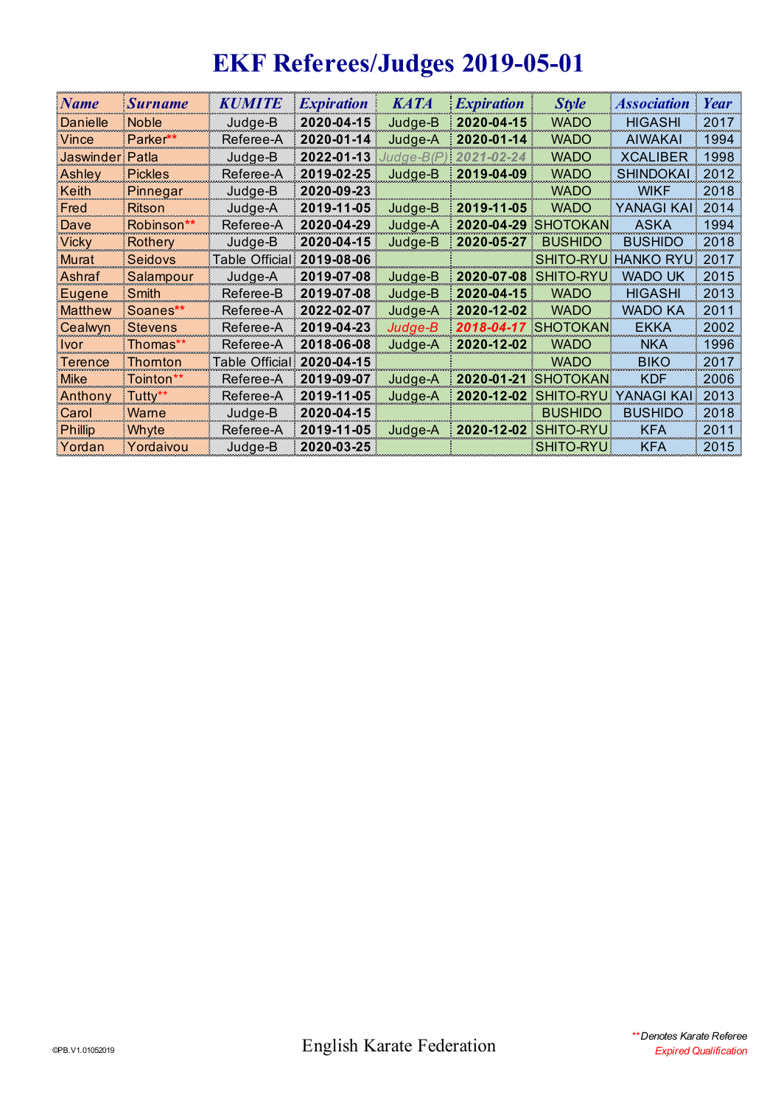# **EKF Referees/Judges 2019-05-01**

| <b>Name</b>     | <b>Surname</b> | KUMITE          | <i><b>Expiration</b></i> | KATA      | <i><b>Expiration</b></i> | <b>Style</b>               | <i><b>Association</b></i> | Year |
|-----------------|----------------|-----------------|--------------------------|-----------|--------------------------|----------------------------|---------------------------|------|
| Danielle        | <b>Noble</b>   | Judge-B         | 2020-04-15               | Judge-B   | 2020-04-15               | <b>WADO</b>                | <b>HIGASHI</b>            | 2017 |
| Vince           | Parker**       | Referee-A       | 2020-01-14               | Judge-A   | $2020 - 01 - 14$         | <b>WADO</b>                | <b>AIWAKAI</b>            | 1994 |
| Jaswinder Patla |                | Judge-B         | 2022-01-13               | Judge-B(P | 2021-02-24               | <b>WADO</b>                | <b>XCALIBER</b>           | 1998 |
| Ashley          | <b>Pickles</b> | Referee-A       | 2019-02-25               | Judge-B   | 2019-04-09               | <b>WADO</b>                | <b>SHINDOKAI</b>          | 2012 |
| Keith           | Pinnegar       | Judge-B         | 2020-09-23               |           |                          | <b>WADO</b>                | <b>WIKF</b>               | 2018 |
| Fred            | Ritson         | Judae-A         | 2019-11-05               | Judge-B   | 2019-11-05               | <b>WADO</b>                | <b>YANAGI KAI!</b>        | 2014 |
| Dave            | Robinson**     | Referee-A       | 2020-04-29               | Judge-A   |                          | <b>2020-04-29 SHOTOKAN</b> | <b>ASKA</b>               | 1994 |
| Vicky           | <b>Rothery</b> | Judge-B         | 2020-04-15               | Judge-B   | 2020-05-27               | <b>BUSHIDO</b>             | <b>BUSHIDO</b>            | 2018 |
| Murat           | Seidovs        | Table Official: | 2019-08-06               |           |                          | <b>SHITO-RYU</b>           | HANKO RYU:                | 2017 |
| Ashraf          | Salampour      | Judge-A         | 2019-07-08               | Judge-B   |                          | 2020-07-08 SHITO-RYU       | wado uk                   | 2015 |
| Eugene          | Smith          | Referee-B       | 2019-07-08               | Judge-B   | $2020 - 04 - 15$         | <b>WADO</b>                | <b>HIGASHI</b>            | 2013 |
| <b>Matthew</b>  | Soanes**       | Referee-A       | 2022-02-07               | Judge-A   | 2020-12-02               | <b>WADO</b>                | WADO KA                   | 2011 |
| Cealwyn         | Stevens        | Referee-A       | 2019-04-23               | Judge-B   | 2018-04-17               | <b>SHOTOKAN</b>            | EKKA                      | 2002 |
| <u>Ivor</u>     | Thomas**       | Referee-A       | 2018-06-08               | Judge-A   | 2020-12-02               | <b>WADO</b>                | <b>NKA</b>                | 1996 |
| Terence         | Thornton       | Table Official! | 2020-04-15               |           |                          | <b>WADO</b>                | <b>BIKO</b>               | 2017 |
| Mike            | Tointon**      | Referee-A       | 2019-09-07               | Judge-A   |                          | <b>2020-01-21 SHOTOKAN</b> | <b>KDF</b>                | 2006 |
| Anthony         | Tuttv**        | Referee-A       | 2019-11-05               | Judge-A   | 2020-12-02               | <b>SHITO-RYU</b>           | YANAGI KALI               | 2013 |
| Carol           | Warne          | Judge-B         | 2020-04-15               |           |                          | <b>BUSHIDO</b>             | <b>BUSHIDO</b>            | 2018 |
| <b>Phillip</b>  | Whyte          | Referee-A       | 2019-11-05               | Judge-A   |                          | 2020-12-02 SHITO-RYU       | <b>KFA</b>                | 2011 |
| Yordan          | Yordaivou      | Judge-B         | 2020-03-25               |           |                          | <b>SHITO-RYU</b>           | <b>KFA</b>                | 2015 |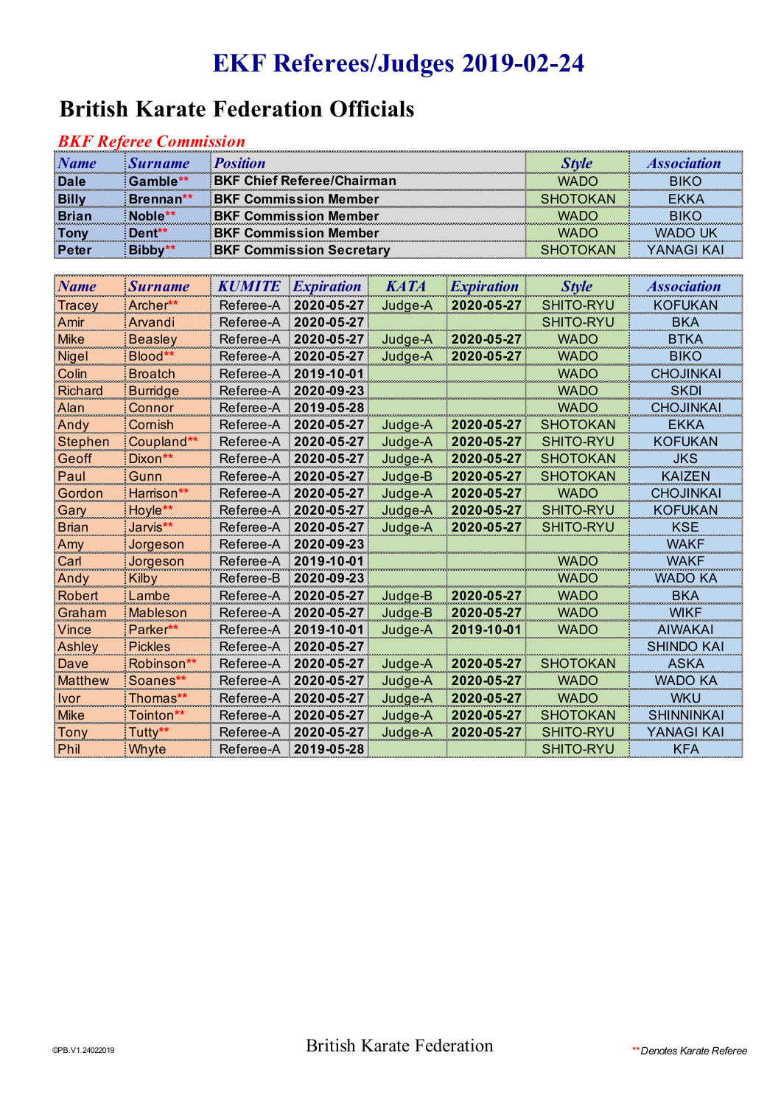## **EKF Referees/Judges 2019-02-24**

### **British Karate Federation Officials**

#### *BKF Referee Commission*

| <b>Name</b>  | <b>Surname</b> | <b>Position</b>                   |                 | <i><b>Association</b></i> |
|--------------|----------------|-----------------------------------|-----------------|---------------------------|
| <b>Dale</b>  | Gamble**       | <b>BKF Chief Referee/Chairman</b> | <b>WADO</b>     |                           |
| <b>Billy</b> | Brennan**      | <b>BKF Commission Member</b>      | <b>SHOTOKAN</b> |                           |
|              | Joble**        | <b>BKF Commission Member</b>      | MADO            |                           |
| Tony         | Dent**         | <b>BKF Commission Member</b>      | MADO            | WADO UK                   |
|              |                | <b>BKF Commission Secretary</b>   | SHOTOKAN        | YANAGI KAI                |

| <b>Name</b>    | <b>Surname</b>   | <b>KUMITE</b> | <i><b>Expiration</b></i> | <b>KATA</b> | <i><b>Expiration</b></i> | <b>Style</b>     | <i><b>Association</b></i> |
|----------------|------------------|---------------|--------------------------|-------------|--------------------------|------------------|---------------------------|
| Tracey         | Archer**         | Referee-A     | 2020-05-27               | Judge-A     | 2020-05-27               | SHITO-RYU        | KOFUKAN                   |
| Amir           | Arvandi          | Referee-A     | 2020-05-27               |             |                          | SHITO-RYU        | BKA                       |
| Mike           | <b>Beasley</b>   | Referee-A     | 2020-05-27               | Judge-A     | 2020-05-27               | <b>WADO</b>      | BTKA                      |
| <b>Nigel</b>   | Blood**          | Referee-A     | 2020-05-27               | Judge-A     | 2020-05-27               | <b>WADO</b>      | <b>BIKO</b>               |
| Colin          | <b>Broatch</b>   | Referee-A     | 2019-10-01               |             |                          | <b>WADO</b>      | <b>CHOJINKAI</b>          |
| Richard        | Burridge         | Referee-A     | 2020-09-23               |             |                          | <b>WADO</b>      | <b>SKDI</b>               |
| Alan           | Connor           | Referee-A     | 2019-05-28               |             |                          | <b>WADO</b>      | <b>CHOJINKAI</b>          |
| Andy           | Cornish          | Referee-A     | 2020-05-27               | Judge-A     | 2020-05-27               | <b>SHOTOKAN</b>  | EKKA                      |
| Stephen        | Coupland**       | Referee-A     | 2020-05-27               | Judge-A     | 2020-05-27               | SHITO-RYU        | KOFUKAN                   |
| Geoff          | Dixon**          | Referee-A     | 2020-05-27               | Judge-A     | 2020-05-27               | <b>SHOTOKAN</b>  | <b>JKS</b>                |
| Paul           | Gunn             | Referee-A     | 2020-05-27               | Judge-B     | 2020-05-27               | <b>SHOTOKAN</b>  | <b>KAIZEN</b>             |
| Gordon         | Harrison**       | Referee-A     | 2020-05-27               | Judge-A     | 2020-05-27               | <b>WADO</b>      | CHOJINKAI                 |
| Gary           | Hoyle**          | Referee-A     | 2020-05-27               | Judge-A     | 2020-05-27               | <b>SHITO-RYU</b> | <b>KOFUKAN</b>            |
| Brian          | Jarvis**         | Referee-A     | 2020-05-27               | Judge-A     | 2020-05-27               | SHITO-RYU        | KSE                       |
| Amy            | Jorgeson         | Referee-A     | 2020-09-23               |             |                          |                  | <b>WAKF</b>               |
| Carl           | Jorgeson         | Referee-A     | 2019-10-01               |             |                          | <b>WADO</b>      | <b>WAKF</b>               |
| Andy           | Kilby            | Referee-B     | 2020-09-23               |             |                          | <b>WADO</b>      | WADO KA                   |
| Robert         | Lambe            | Referee-A     | 2020-05-27               | Judge-B     | 2020-05-27               | <b>WADO</b>      | BKA                       |
| Graham         | Mableson         | Referee-A     | 2020-05-27               | Judge-B     | 2020-05-27               | <b>WADO</b>      | <b>WIKF</b>               |
| Vince          | Parker**         | Referee-A     | 2019-10-01               | Judge-A     | 2019-10-01               | <b>WADO</b>      | <b>AIWAKAI</b>            |
| Ashley         | <b>Pickles</b>   | Referee-A     | 2020-05-27               |             |                          |                  | <b>SHINDO KAI</b>         |
| Dave           | Robinson**       | Referee-A     | 2020-05-27               | Judge-A     | 2020-05-27               | <b>SHOTOKAN</b>  | ASKA                      |
| <b>Matthew</b> | Soanes**         | Referee-A     | 2020-05-27               | Judge-A     | 2020-05-27               | <b>WADO</b>      | WADO KA                   |
| <u>Ivor</u>    | Thomas <b>**</b> | Referee-A     | 2020-05-27               | Judge-A     | 2020-05-27               | <b>WADO</b>      | <b>WKU</b>                |
| Mike           | Tointon**        | Referee-A     | 2020-05-27               | Judge-A     | 2020-05-27               | <b>SHOTOKAN</b>  | <b>SHINNINKAI</b>         |
| Tony           | Tutty**          | Referee-A     | 2020-05-27               | Judge-A     | 2020-05-27               | SHITO-RYU        | YANAGI KAI                |
| Phil           | Whyte            | Referee-A     | 2019-05-28               |             |                          | SHITO-RYU        | <b>KFA</b>                |